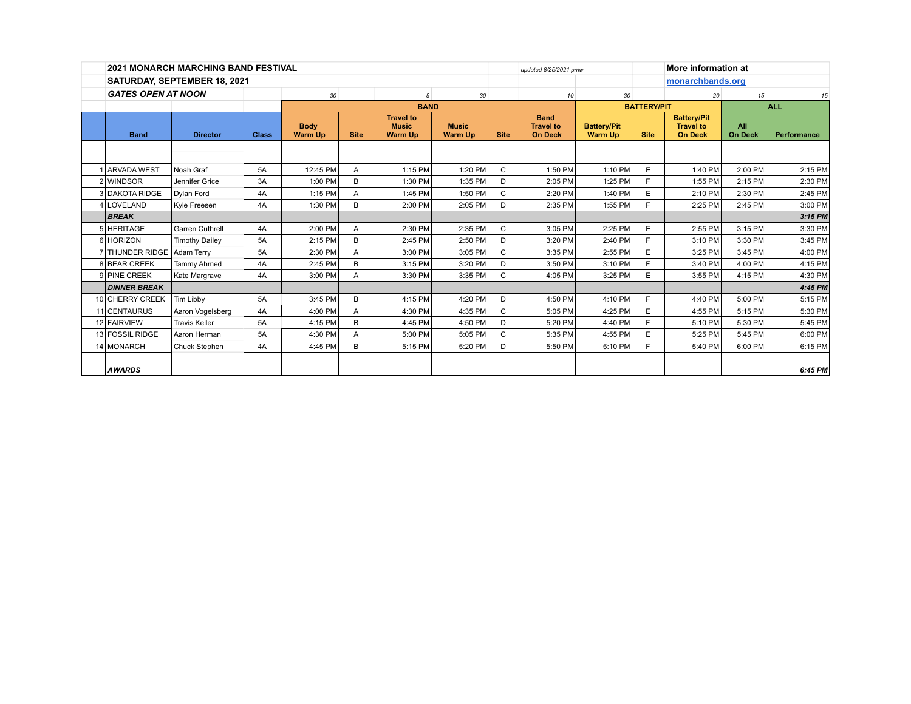|                              | <b>2021 MONARCH MARCHING BAND FESTIVAL</b> |                       |              |                               |             |                                                    |                                |              | More information at<br>updated 8/25/2021 pmw      |                                      |                    |                                                          |                       |             |
|------------------------------|--------------------------------------------|-----------------------|--------------|-------------------------------|-------------|----------------------------------------------------|--------------------------------|--------------|---------------------------------------------------|--------------------------------------|--------------------|----------------------------------------------------------|-----------------------|-------------|
| SATURDAY, SEPTEMBER 18, 2021 |                                            |                       |              |                               |             |                                                    |                                |              |                                                   |                                      |                    | monarchbands.org                                         |                       |             |
|                              | <b>GATES OPEN AT NOON</b>                  |                       | 30           |                               | 5           | 30                                                 |                                | 10           | 30                                                |                                      | 20                 | 15                                                       | 15                    |             |
|                              |                                            |                       |              | <b>BAND</b>                   |             |                                                    |                                |              |                                                   |                                      | <b>BATTERY/PIT</b> |                                                          | <b>ALL</b>            |             |
|                              | <b>Band</b>                                | <b>Director</b>       | <b>Class</b> | <b>Body</b><br><b>Warm Up</b> | <b>Site</b> | <b>Travel to</b><br><b>Music</b><br><b>Warm Up</b> | <b>Music</b><br><b>Warm Up</b> | <b>Site</b>  | <b>Band</b><br><b>Travel to</b><br><b>On Deck</b> | <b>Battery/Pit</b><br><b>Warm Up</b> | <b>Site</b>        | <b>Battery/Pit</b><br><b>Travel to</b><br><b>On Deck</b> | All<br><b>On Deck</b> | Performance |
|                              |                                            |                       |              |                               |             |                                                    |                                |              |                                                   |                                      |                    |                                                          |                       |             |
|                              | <b>ARVADA WEST</b>                         | Noah Graf             | <b>5A</b>    | 12:45 PM                      | A           | 1:15 PM                                            | 1:20 PM                        | $\mathsf{C}$ | 1:50 PM                                           | 1:10 PM                              | E                  | 1:40 PM                                                  | 2:00 PM               | 2:15 PM     |
|                              | 2 WINDSOR                                  | Jennifer Grice        | 3A           | 1:00 PM                       | B           | 1:30 PM                                            | 1:35 PM                        | D            | 2:05 PM                                           | 1:25 PM                              | F.                 | 1:55 PM                                                  | 2:15 PM               | 2:30 PM     |
|                              | 3 DAKOTA RIDGE                             | Dylan Ford            | 4A           | 1:15 PM                       | A           | 1:45 PM                                            | 1:50 PM                        | C            | 2:20 PM                                           | 1:40 PM                              | E                  | 2:10 PM                                                  | 2:30 PM               | 2:45 PM     |
|                              | 4 LOVELAND                                 | Kyle Freesen          | 4A           | 1:30 PM                       | B           | 2:00 PM                                            | 2:05 PM                        | D            | 2:35 PM                                           | 1:55 PM                              | F.                 | 2:25 PM                                                  | 2:45 PM               | 3:00 PM     |
|                              | <b>BREAK</b>                               |                       |              |                               |             |                                                    |                                |              |                                                   |                                      |                    |                                                          |                       | $3:15$ PM   |
|                              | 5 HERITAGE                                 | Garren Cuthrell       | 4A           | 2:00 PM                       | A           | 2:30 PM                                            | 2:35 PM                        | C            | 3:05 PM                                           | 2:25 PM                              | E                  | 2:55 PM                                                  | 3:15 PM               | 3:30 PM     |
|                              | 6 HORIZON                                  | <b>Timothy Dailey</b> | <b>5A</b>    | 2:15 PM                       | B           | 2:45 PM                                            | 2:50 PM                        | D            | 3:20 PM                                           | 2:40 PM                              | F.                 | 3:10 PM                                                  | 3:30 PM               | 3:45 PM     |
|                              | 7 THUNDER RIDGE                            | <b>Adam Terry</b>     | 5A           | 2:30 PM                       | A           | 3:00 PM                                            | 3:05 PM                        | C            | 3:35 PM                                           | 2:55 PM                              | E                  | 3:25 PM                                                  | 3:45 PM               | 4:00 PM     |
|                              | 8 BEAR CREEK                               | <b>Tammy Ahmed</b>    | 4A           | 2:45 PM                       | B           | 3:15 PM                                            | 3:20 PM                        | D            | 3:50 PM                                           | 3:10 PM                              | F.                 | 3:40 PM                                                  | 4:00 PM               | 4:15 PM     |
|                              | 9 PINE CREEK                               | Kate Margrave         | 4A           | 3:00 PM                       | A           | 3:30 PM                                            | 3:35 PM                        | C.           | 4:05 PM                                           | 3:25 PM                              | E                  | 3:55 PM                                                  | 4:15 PM               | 4:30 PM     |
|                              | <b>DINNER BREAK</b>                        |                       |              |                               |             |                                                    |                                |              |                                                   |                                      |                    |                                                          |                       | 4:45 PM     |
|                              | 10 CHERRY CREEK                            | <b>Tim Libby</b>      | <b>5A</b>    | 3:45 PM                       | B           | 4:15 PM                                            | 4:20 PM                        | D            | 4:50 PM                                           | 4:10 PM                              | F.                 | 4:40 PM                                                  | 5:00 PM               | 5:15 PM     |
|                              | 11 CENTAURUS                               | Aaron Vogelsberg      | 4A           | 4:00 PM                       | A           | 4:30 PM                                            | 4:35 PM                        | C            | 5:05 PM                                           | 4:25 PM                              | E                  | 4:55 PM                                                  | 5:15 PM               | 5:30 PM     |
|                              | 12 FAIRVIEW                                | <b>Travis Keller</b>  | 5A           | 4:15 PM                       | B           | 4:45 PM                                            | 4:50 PM                        | D            | 5:20 PM                                           | 4:40 PM                              | F                  | 5:10 PM                                                  | 5:30 PM               | 5:45 PM     |
|                              | 13 FOSSIL RIDGE                            | Aaron Herman          | <b>5A</b>    | 4:30 PM                       | A           | 5:00 PM                                            | 5:05 PM                        | C            | 5:35 PM                                           | 4:55 PM                              | E                  | 5:25 PM                                                  | 5:45 PM               | 6:00 PM     |
|                              | 14 MONARCH                                 | Chuck Stephen         | 4A           | 4:45 PM                       | B           | 5:15 PM                                            | 5:20 PM                        | D            | 5:50 PM                                           | 5:10 PM                              | E                  | 5:40 PM                                                  | 6:00 PM               | 6:15 PM     |
|                              |                                            |                       |              |                               |             |                                                    |                                |              |                                                   |                                      |                    |                                                          |                       |             |
|                              | <b>AWARDS</b>                              |                       |              |                               |             |                                                    |                                |              |                                                   |                                      |                    |                                                          |                       | 6:45 PM     |